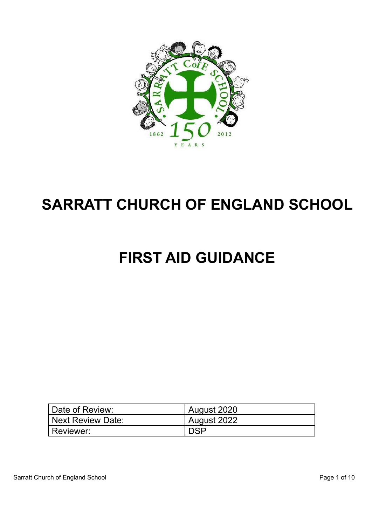

# **SARRATT CHURCH OF ENGLAND SCHOOL**

# **FIRST AID GUIDANCE**

| Date of Review:   | August 2020 |
|-------------------|-------------|
| Next Review Date: | August 2022 |
| Reviewer:         | <b>DSP</b>  |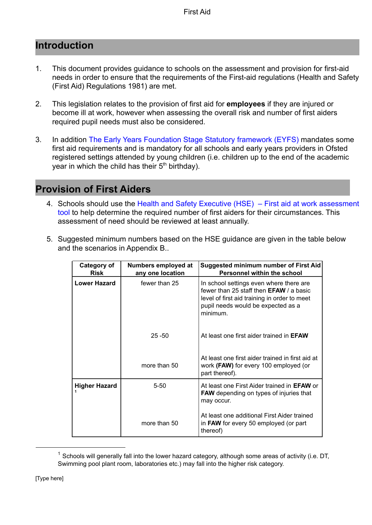## **Introduction**

- 1. This document provides guidance to schools on the assessment and provision for first-aid needs in order to ensure that the requirements of the First-aid regulations (Health and Safety (First Aid) Regulations 1981) are met.
- 2. This legislation relates to the provision of first aid for **employees** if they are injured or become ill at work, however when assessing the overall risk and number of first aiders required pupil needs must also be considered.
- 3. In addition [The Early Years Foundation Stage Statutory](https://www.gov.uk/government/publications/early-years-foundation-stage-framework) framework (EYFS) mandates some first aid requirements and is mandatory for all schools and early years providers in Ofsted registered settings attended by young children (i.e. children up to the end of the academic year in which the child has their  $5<sup>th</sup>$  birthday).

# **Provision of First Aiders**

- 4. Schools should use the Health and Safety Executive [\(HSE\) First aid at work assessment](http://www.hse.gov.uk/firstaid/assessmenttool.htm) [tool](http://www.hse.gov.uk/firstaid/assessmenttool.htm) to help determine the required number of first aiders for their circumstances. This assessment of need should be reviewed at least annually.
- 5. Suggested minimum numbers based on the HSE guidance are given in the table below and the scenarios in Appendix B..

| <b>Category of</b><br><b>Risk</b> | Numbers employed at<br>any one location | <b>Suggested minimum number of First Aid</b><br><b>Personnel within the school</b>                                                                                                          |
|-----------------------------------|-----------------------------------------|---------------------------------------------------------------------------------------------------------------------------------------------------------------------------------------------|
| Lower Hazard                      | fewer than 25                           | In school settings even where there are<br>fewer than 25 staff then <b>EFAW</b> / a basic<br>level of first aid training in order to meet<br>pupil needs would be expected as a<br>minimum. |
|                                   | $25 - 50$                               | At least one first aider trained in <b>EFAW</b>                                                                                                                                             |
|                                   | more than 50                            | At least one first aider trained in first aid at<br>work (FAW) for every 100 employed (or<br>part thereof).                                                                                 |
| <b>Higher Hazard</b>              | $5 - 50$                                | At least one First Aider trained in <b>EFAW</b> or<br><b>FAW</b> depending on types of injuries that<br>may occur.                                                                          |
|                                   | more than 50                            | At least one additional First Aider trained<br>in FAW for every 50 employed (or part<br>thereof)                                                                                            |

 $<sup>1</sup>$  Schools will generally fall into the lower hazard category, although some areas of activity (i.e. DT,</sup> Swimming pool plant room, laboratories etc.) may fall into the higher risk category.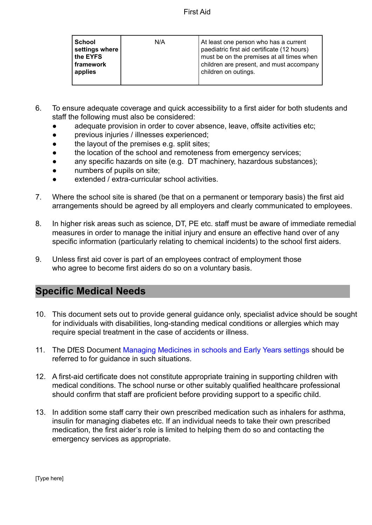| School<br>settings where<br>∣ the EYFS<br>  framework<br>applies | N/A | At least one person who has a current<br>paediatric first aid certificate (12 hours)<br>must be on the premises at all times when<br>children are present, and must accompany<br>children on outings. |
|------------------------------------------------------------------|-----|-------------------------------------------------------------------------------------------------------------------------------------------------------------------------------------------------------|
|------------------------------------------------------------------|-----|-------------------------------------------------------------------------------------------------------------------------------------------------------------------------------------------------------|

- 6. To ensure adequate coverage and quick accessibility to a first aider for both students and staff the following must also be considered:
	- adequate provision in order to cover absence, leave, offsite activities etc;
	- previous injuries / illnesses experienced;
	- the layout of the premises e.g. split sites;
	- the location of the school and remoteness from emergency services;
	- any specific hazards on site (e.g. DT machinery, hazardous substances);
	- numbers of pupils on site;
	- extended / extra-curricular school activities.
- 7. Where the school site is shared (be that on a permanent or temporary basis) the first aid arrangements should be agreed by all employers and clearly communicated to employees.
- 8. In higher risk areas such as science, DT, PE etc. staff must be aware of immediate remedial measures in order to manage the initial injury and ensure an effective hand over of any specific information (particularly relating to chemical incidents) to the school first aiders.
- 9. Unless first aid cover is part of an employees contract of employment those who agree to become first aiders do so on a voluntary basis.

#### **Specific Medical Needs**

- 10. This document sets out to provide general guidance only, specialist advice should be sought for individuals with disabilities, long-standing medical conditions or allergies which may require special treatment in the case of accidents or illness.
- 11. The DfES Document [Managing Medicines in schools](https://www.gov.uk/government/publications/managing-medicines-in-schools-and-early-years-settings) and Early Years settings should be referred to for guidance in such situations.
- 12. A first-aid certificate does not constitute appropriate training in supporting children with medical conditions. The school nurse or other suitably qualified healthcare professional should confirm that staff are proficient before providing support to a specific child.
- 13. In addition some staff carry their own prescribed medication such as inhalers for asthma, insulin for managing diabetes etc. If an individual needs to take their own prescribed medication, the first aider's role is limited to helping them do so and contacting the emergency services as appropriate.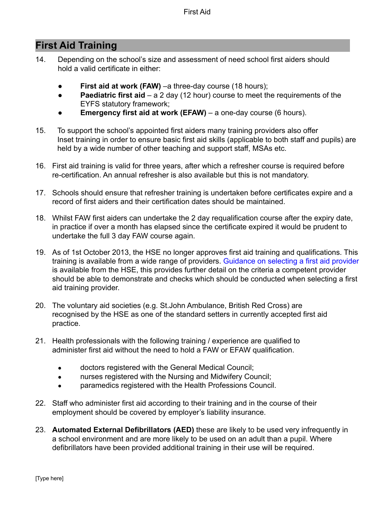# **First Aid Training**

- 14. Depending on the school's size and assessment of need school first aiders should hold a valid certificate in either:
	- **First aid at work (FAW)** –a three-day course (18 hours);
	- **Paediatric first aid** a 2 day (12 hour) course to meet the requirements of the EYFS statutory framework;
	- **Emergency first aid at work (EFAW)** a one-day course (6 hours).
- 15. To support the school's appointed first aiders many training providers also offer Inset training in order to ensure basic first aid skills (applicable to both staff and pupils) are held by a wide number of other teaching and support staff, MSAs etc.
- 16. First aid training is valid for three years, after which a refresher course is required before re-certification. An annual refresher is also available but this is not mandatory.
- 17. Schools should ensure that refresher training is undertaken before certificates expire and a record of first aiders and their certification dates should be maintained.
- 18. Whilst FAW first aiders can undertake the 2 day requalification course after the expiry date, in practice if over a month has elapsed since the certificate expired it would be prudent to undertake the full 3 day FAW course again.
- 19. As of 1st October 2013, the HSE no longer approves first aid training and qualifications. This training is available from a wide range of providers. [Guidance on selecting a first aid provider](http://www.hse.gov.uk/pubns/geis3.htm) is available from the HSE, this provides further detail on the criteria a competent provider should be able to demonstrate and checks which should be conducted when selecting a first aid training provider.
- 20. The voluntary aid societies (e.g. St.John Ambulance, British Red Cross) are recognised by the HSE as one of the standard setters in currently accepted first aid practice.
- 21. Health professionals with the following training / experience are qualified to administer first aid without the need to hold a FAW or EFAW qualification.
	- doctors registered with the General Medical Council;
	- nurses registered with the Nursing and Midwifery Council;
	- paramedics registered with the Health Professions Council.
- 22. Staff who administer first aid according to their training and in the course of their employment should be covered by employer's liability insurance.
- 23. **Automated External Defibrillators (AED)** these are likely to be used very infrequently in a school environment and are more likely to be used on an adult than a pupil. Where defibrillators have been provided additional training in their use will be required.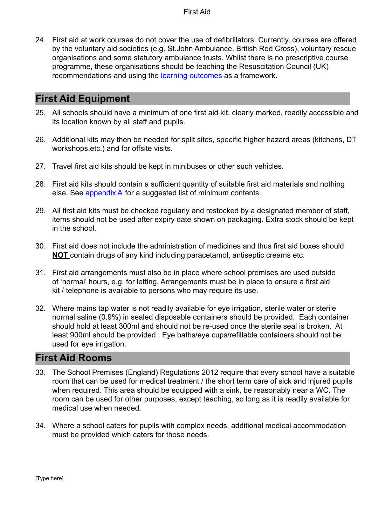24. First aid at work courses do not cover the use of defibrillators. Currently, courses are offered by the voluntary aid societies (e.g. St.John Ambulance, British Red Cross), voluntary rescue organisations and some statutory ambulance trusts. Whilst there is no prescriptive course programme, these organisations should be teaching the Resuscitation Council (UK) recommendations and using the [learning outcomes](http://resus.org.uk/pages/lrnOutcm.htm) as a framework.

## **First Aid Equipment**

- 25. All schools should have a minimum of one first aid kit, clearly marked, readily accessible and its location known by all staff and pupils.
- 26. Additional kits may then be needed for split sites, specific higher hazard areas (kitchens, DT workshops.etc.) and for offsite visits.
- 27. Travel first aid kits should be kept in minibuses or other such vehicles.
- 28. First aid kits should contain a sufficient quantity of suitable first aid materials and nothing else. See [appendix A](#page-9-0) for a suggested list of minimum contents.
- 29. All first aid kits must be checked regularly and restocked by a designated member of staff, items should not be used after expiry date shown on packaging. Extra stock should be kept in the school.
- 30. First aid does not include the administration of medicines and thus first aid boxes should **NOT** contain drugs of any kind including paracetamol, antiseptic creams etc.
- 31. First aid arrangements must also be in place where school premises are used outside of 'normal' hours, e.g. for letting. Arrangements must be in place to ensure a first aid kit / telephone is available to persons who may require its use.
- 32. Where mains tap water is not readily available for eye irrigation, sterile water or sterile normal saline (0.9%) in sealed disposable containers should be provided. Each container should hold at least 300ml and should not be re-used once the sterile seal is broken. At least 900ml should be provided. Eye baths/eye cups/refillable containers should not be used for eye irrigation.

## **First Aid Rooms**

- 33. The School Premises (England) Regulations 2012 require that every school have a suitable room that can be used for medical treatment / the short term care of sick and injured pupils when required. This area should be equipped with a sink, be reasonably near a WC. The room can be used for other purposes, except teaching, so long as it is readily available for medical use when needed.
- 34. Where a school caters for pupils with complex needs, additional medical accommodation must be provided which caters for those needs.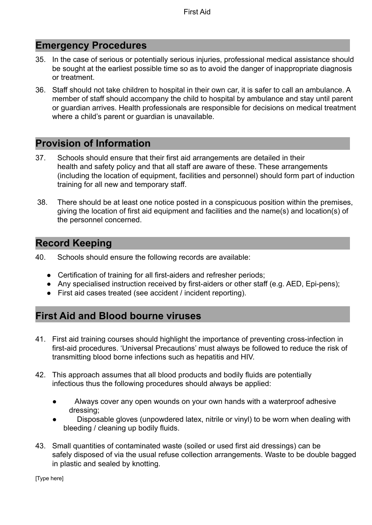## **Emergency Procedures**

- 35. In the case of serious or potentially serious injuries, professional medical assistance should be sought at the earliest possible time so as to avoid the danger of inappropriate diagnosis or treatment.
- 36. Staff should not take children to hospital in their own car, it is safer to call an ambulance. A member of staff should accompany the child to hospital by ambulance and stay until parent or guardian arrives. Health professionals are responsible for decisions on medical treatment where a child's parent or guardian is unavailable.

## **Provision of Information**

- 37. Schools should ensure that their first aid arrangements are detailed in their health and safety policy and that all staff are aware of these. These arrangements (including the location of equipment, facilities and personnel) should form part of induction training for all new and temporary staff.
- 38. There should be at least one notice posted in a conspicuous position within the premises, giving the location of first aid equipment and facilities and the name(s) and location(s) of the personnel concerned.

# **Record Keeping**

- 40. Schools should ensure the following records are available:
	- Certification of training for all first-aiders and refresher periods;
	- Any specialised instruction received by first-aiders or other staff (e.g. AED, Epi-pens);
	- First aid cases treated (see accident / incident reporting).

# **First Aid and Blood bourne viruses**

- 41. First aid training courses should highlight the importance of preventing cross-infection in first-aid procedures. 'Universal Precautions' must always be followed to reduce the risk of transmitting blood borne infections such as hepatitis and HIV.
- 42. This approach assumes that all blood products and bodily fluids are potentially infectious thus the following procedures should always be applied:
	- Always cover any open wounds on your own hands with a waterproof adhesive dressing;
	- Disposable gloves (unpowdered latex, nitrile or vinyl) to be worn when dealing with bleeding / cleaning up bodily fluids.
- 43. Small quantities of contaminated waste (soiled or used first aid dressings) can be safely disposed of via the usual refuse collection arrangements. Waste to be double bagged in plastic and sealed by knotting.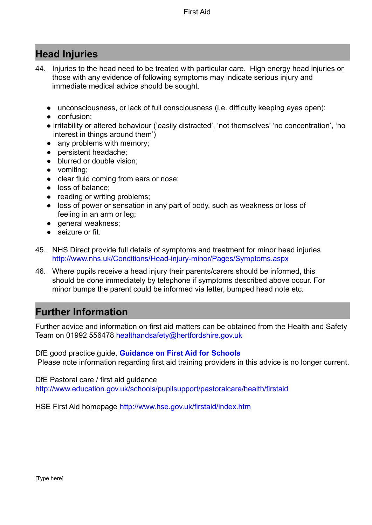# **Head Injuries**

- 44. Injuries to the head need to be treated with particular care. High energy head injuries or those with any evidence of following symptoms may indicate serious injury and immediate medical advice should be sought.
	- unconsciousness, or lack of full consciousness (i.e. difficulty keeping eyes open);
	- confusion;
	- irritability or altered behaviour ('easily distracted', 'not themselves' 'no concentration', 'no interest in things around them')
	- any problems with memory;
	- persistent headache;
	- blurred or double vision:
	- vomiting;
	- clear fluid coming from ears or nose;
	- loss of balance;
	- reading or writing problems;
	- loss of power or sensation in any part of body, such as weakness or loss of feeling in an arm or leg;
	- general weakness;
	- seizure or fit.
- 45. NHS Direct provide full details of symptoms and treatment for minor head injuries <http://www.nhs.uk/Conditions/Head-injury-minor/Pages/Symptoms.aspx>
- 46. Where pupils receive a head injury their parents/carers should be informed, this should be done immediately by telephone if symptoms described above occur. For minor bumps the parent could be informed via letter, bumped head note etc.

# **Further Information**

Further advice and information on first aid matters can be obtained from the Health and Safety Team on 01992 556478 [healthandsafety@hertfordshire.gov.uk](mailto:healthandsafety@hertfordshire.gov.uk)

DfE good practice guide, **[Guidance on First Aid for](https://www.gov.uk/government/publications/first-aid-in-schools) Schools** Please note information regarding first aid training providers in this advice is no longer current.

DfE Pastoral care / first aid guidance <http://www.education.gov.uk/schools/pupilsupport/pastoralcare/health/firstaid>

HSE First Aid homepage <http://www.hse.gov.uk/firstaid/index.htm>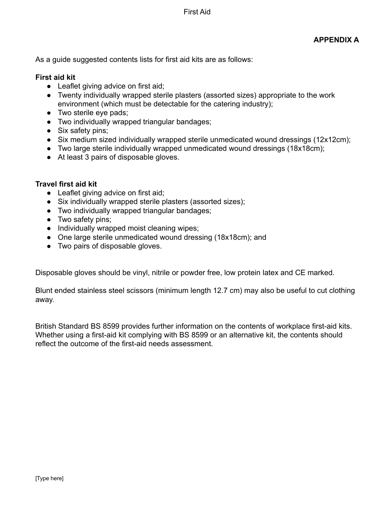As a guide suggested contents lists for first aid kits are as follows:

#### **First aid kit**

- Leaflet giving advice on first aid;
- Twenty individually wrapped sterile plasters (assorted sizes) appropriate to the work environment (which must be detectable for the catering industry);
- Two sterile eve pads;
- Two individually wrapped triangular bandages;
- Six safety pins;
- Six medium sized individually wrapped sterile unmedicated wound dressings (12x12cm);
- Two large sterile individually wrapped unmedicated wound dressings (18x18cm);
- At least 3 pairs of disposable gloves.

#### **Travel first aid kit**

- Leaflet giving advice on first aid;
- Six individually wrapped sterile plasters (assorted sizes);
- Two individually wrapped triangular bandages;
- Two safety pins;
- Individually wrapped moist cleaning wipes;
- One large sterile unmedicated wound dressing (18x18cm); and
- Two pairs of disposable gloves.

Disposable gloves should be vinyl, nitrile or powder free, low protein latex and CE marked.

Blunt ended stainless steel scissors (minimum length 12.7 cm) may also be useful to cut clothing away.

British Standard BS 8599 provides further information on the contents of workplace first-aid kits. Whether using a first-aid kit complying with BS 8599 or an alternative kit, the contents should reflect the outcome of the first-aid needs assessment.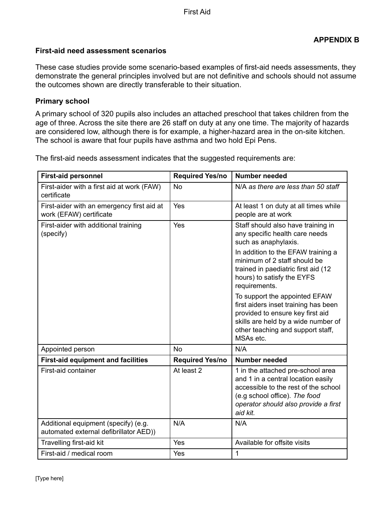#### **First-aid need assessment scenarios**

These case studies provide some scenario-based examples of first-aid needs assessments, they demonstrate the general principles involved but are not definitive and schools should not assume the outcomes shown are directly transferable to their situation.

#### **Primary school**

A primary school of 320 pupils also includes an attached preschool that takes children from the age of three. Across the site there are 26 staff on duty at any one time. The majority of hazards are considered low, although there is for example, a higher-hazard area in the on-site kitchen. The school is aware that four pupils have asthma and two hold Epi Pens.

The first-aid needs assessment indicates that the suggested requirements are:

| <b>First-aid personnel</b>                                                     | <b>Required Yes/no</b> | <b>Number needed</b>                                                                                                                                                                                                                                                                                                                                                                                                                                           |
|--------------------------------------------------------------------------------|------------------------|----------------------------------------------------------------------------------------------------------------------------------------------------------------------------------------------------------------------------------------------------------------------------------------------------------------------------------------------------------------------------------------------------------------------------------------------------------------|
| First-aider with a first aid at work (FAW)<br>certificate                      | <b>No</b>              | N/A as there are less than 50 staff                                                                                                                                                                                                                                                                                                                                                                                                                            |
| First-aider with an emergency first aid at<br>work (EFAW) certificate          | Yes                    | At least 1 on duty at all times while<br>people are at work                                                                                                                                                                                                                                                                                                                                                                                                    |
| First-aider with additional training<br>(specify)                              | Yes                    | Staff should also have training in<br>any specific health care needs<br>such as anaphylaxis.<br>In addition to the EFAW training a<br>minimum of 2 staff should be<br>trained in paediatric first aid (12<br>hours) to satisfy the EYFS<br>requirements.<br>To support the appointed EFAW<br>first aiders inset training has been<br>provided to ensure key first aid<br>skills are held by a wide number of<br>other teaching and support staff,<br>MSAs etc. |
| Appointed person                                                               | <b>No</b>              | N/A                                                                                                                                                                                                                                                                                                                                                                                                                                                            |
| <b>First-aid equipment and facilities</b>                                      | <b>Required Yes/no</b> | <b>Number needed</b>                                                                                                                                                                                                                                                                                                                                                                                                                                           |
| First-aid container                                                            | At least 2             | 1 in the attached pre-school area<br>and 1 in a central location easily<br>accessible to the rest of the school<br>(e.g school office). The food<br>operator should also provide a first<br>aid kit.                                                                                                                                                                                                                                                           |
| Additional equipment (specify) (e.g.<br>automated external defibrillator AED)) | N/A                    | N/A                                                                                                                                                                                                                                                                                                                                                                                                                                                            |
| Travelling first-aid kit                                                       | Yes                    | Available for offsite visits                                                                                                                                                                                                                                                                                                                                                                                                                                   |
| First-aid / medical room                                                       | Yes                    | 1                                                                                                                                                                                                                                                                                                                                                                                                                                                              |